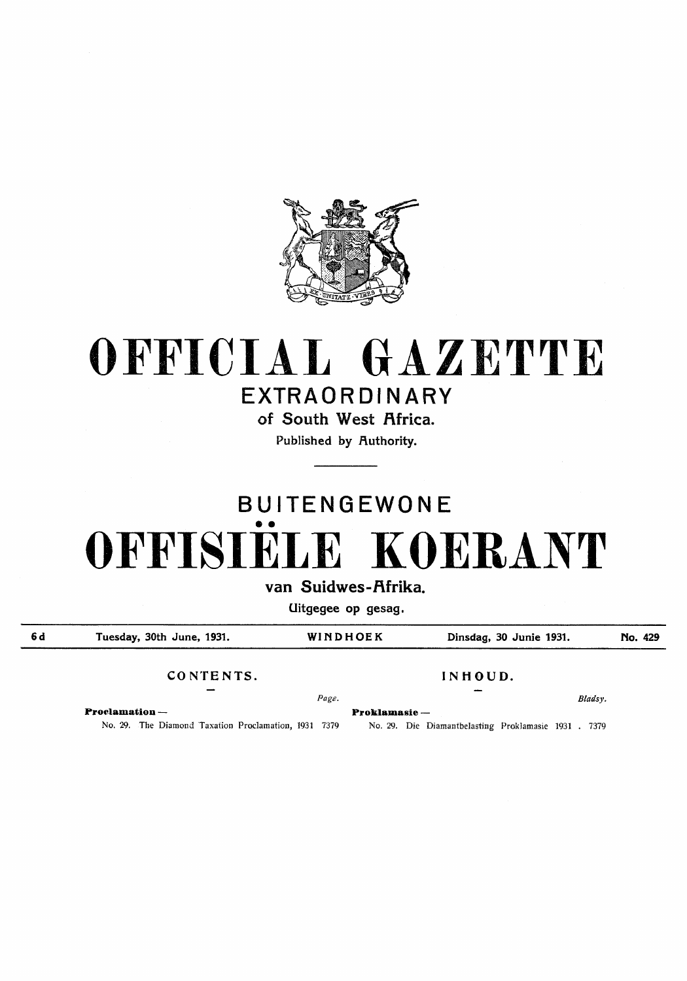

# **OFFICIAL GAZETTE**  EXTRAORDINARY

of South West Africa.

Published by Authority.

# BUITENGEWONE •• OFFISIELE KOERANT

van Suidwes-Afrika.

Uitgegee op gesag.

**6d** Tuesday, 30th June, 1931. WINDHOEK Dinsdag, 30 Junie 1931. No. 429

CONTENTS. INHOUD.

**Proclamation** - **Proklamasie** -

No. 29. The Diamond Taxation Proclamation, 1931 7379 No. 29. Die Diamantbelasting Proklamasie 1931 . 7379

*Page. Bladsy.*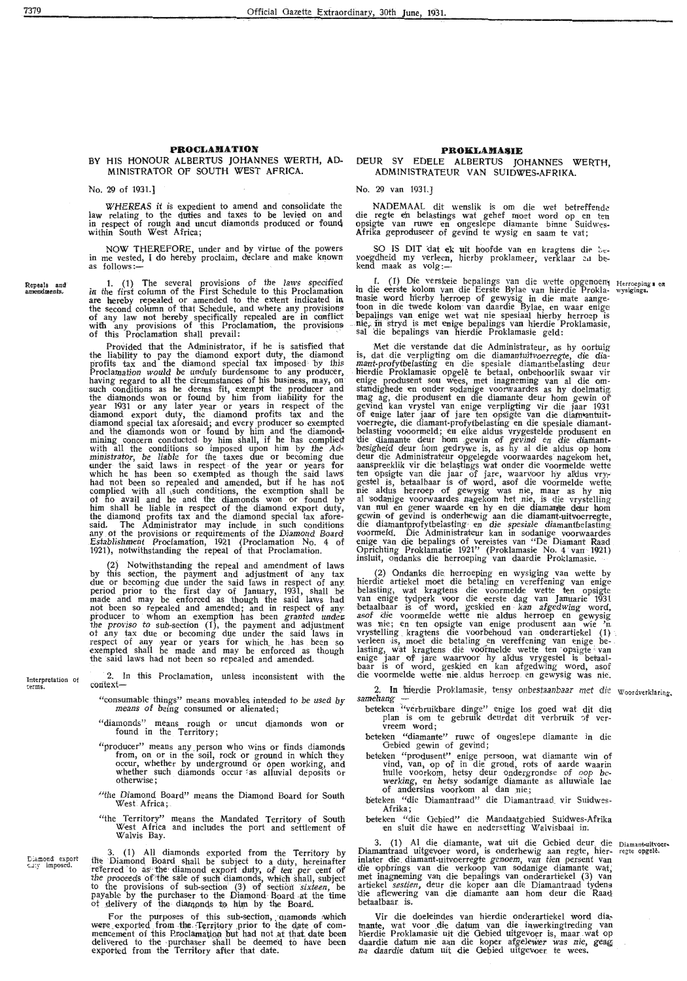## **PROCLAMATION PROCLAMATION**<br>BY HIS HONOUR ALBERTUS JOHANNES WERTH, AD- DEUR SY EDELE ALBERTUS IO HIS HONOUR ALBERTUS JOHANNES WERTH, AD- DEUR SY EDELE ALBERTUS JOHANNES WERTH, MINISTRATEUR VAN SUIDWES-AERIKA

No. 29 of 1931.] No. 29 van 1931.]

law relating to the duties and taxes to be levied on and die regte en belastings wat gehef moet word op en ten in respect of rough and uncut diamonds produced or founc\ ops1gte van ruwe en ongeslepe diamante binne Suidweslaw relating to the duries and taxes to be levied on and<br>in respect of rough and uncut diamonds produced or found<br>within South West Africa;

NOW THEREFORE, under and by virtue of the powers SO IS DIT dat ek uit hoofde van en kragtens die be-<br>in me vested, I do hereby proclaim, declare and make known voegdheid my verleen, hierby proklameer, verklaar an<br>kend maak

Repeals and<br>anvendments.

**rerms.** 

Diamond export<br>cuty imposed.

7379

in the first column of the First Schedule to this Proclamation in die eerste kolom van die Eerste Bylae van hierdie Prokla- wysigings.<br>are hereby repealed or amended to the extent indicated in masie word hierby herroep of the second column of that Schedule, and where any provisions toon in die twede kolom van daardie Bylae, en waar enige of any law not hereby specifically repealed are in conflict bepalings van enige wet wat nie spesiaal hierby herroep is with any provisions of this Proclamation, the provisions . nie,; in stryd is met enige bepa!ings van hierdie Proklamasie, 1. (1) The several provisions of the laws specified<br>in the first column of the First Schedule to this Proclamation<br>are hereby repealed or amended to the extent indicated in<br>the second column of that Schedule, and where any

the liability to pay the diamond export duty, the diamond is, dat die verpligting om die diamantuitvoerregte, die diaprofits tax and the diamond special tax imposed by this mant-profytbelasting en die spesiale diamantbelasting deur Proclamation would be unduly burdensome to any producer, . hierdie Proklamasie opgelê te betaal, onbehoorlik swaar vir having regard to all the circumstances of his business, may, on enige produsent sou wees, met inagneming van al die om-<br>such conditions as he deems fit, exempt the producer and standighede en onder sodanige voorwaardes as the diamonds won or found by him from liability for the mag ag, die produsent en die diamante deur hom gewin or<br>year 1931 or any later year or years in respect of the gevind kan vrystel van enige verpligting vir die jaar diamond export duty, the diamond profits tax and the of enige later jaar of jare ten opsigte van die diam antuitdiamond special tax aforesaid; and every producer so exempted voerregte, die diamant-profytbelasting en die spesiale diamantand the diamonds won or found by him and the diamond - belasting vooormeld; en elke aldus vrygestelde produsent en<br>mining concern conducted by him shall, if he has complied - die diamante deur hom gewin of gevind en die di with all the conditions so imposed upon him by the Ad•. 'besigheid deur hom gedrywe is, as hy al die aldus op hom ministrator, be liable for the taxes due or becoming due deur die Administrateur opgelegde voorwaardes nagekom het, under the said laws in respect of the year or years for aanspreeklik vir die belastings wat onder die voormelde wette which he has been so exempted as though the said laws ten opsigte van die jaar of jare, waarvoor hy aldus vry-<br>had not been so repealed and amended, but if he has not gestel is, betaalbaar is of word, asof die voormelde we complied with all such conditions, the exemption shall be nie aldus herroep of gewysig was nie, maar as hy nie ot no avail and he and the diamonds won or found hY' al sodanige voorwaardes nagekom het nie, is die vrystelling him shall be liable in respect of the diamond export duty, wan nul en gener waarde en hy en die diamante deur hom<br>the diamond profits tax and the diamond special tax afore- gewin of gevind is onderhewig aan die diamant-uit said. The Administrator may include in such conditions die diamantprofytbelasting· en die spesiale diamantbelasting any of the provisions or requirements of the Diamond Board voormeld. Die Administrateur kan in sodanige voorwaardes

insluit, ondanks die herroeping van daardie Proklamasie.<br>(2) Notwithstanding the repeal and amendment of laws by this section, the payment and adjustment of any tax (2) Ondanks die herroeping en wysiging van wette by period prior to the first day of January, 1931, shall be belasting, wat kragtens die voormelde wette ten opsigte made and may be enforced as though the said laws had van enige tydperk voor die eerste dag van Januarie 1931<br>not been so repealed and amended; and in respect of any betaalbaar is of word, geskied en kan afgedwing word, the proviso to sub-section (1), the payment and adjustment was nie; en ten opsigte van enige produsent aan wie 'n

Interpretation of 2. In this Proclamation, unless inconsistent with the die voormelde wette nie aldus herroep en gewysig was nie. 2. In this Proclamation, unless inconsistent with the context-

- "consumable things" means movables intended to be used by means of being consumed or alienated;
- "diamonds" means rough or uncut djamonds won or found in the Territory;
- "producer" means any person who wins or finds diamonds from, on or in the soil, rock or ground in which they occur, whether by underground or open working, and whether such diamonds occur as alluvial deposits or otherwise;
- ''the Diamond Board" means the Diamond Board for South West Africa;
- "the Territory" means the Mandated Territory of South West Africa and includes the port and settlement of Walvis Bay.

. 3. (1) All diamonds exported from the Territory by the Diamond Board shall be subject to a duty, hereinafter referred to as the diamond export duty, of ten per cent of the proceeds of the sale of such diamonds, which shall, subject to the provisions of sub-section (3) of section *sixteen*, be payable by the purchaser to the Diamond· Board -at the time ot delivery of the diamonds to him by the Board.

For the purposes of this sub-section, quamonds which were exported from the Territory prior to the date of com-<br>mencement of this Proclamation but had not at that date been<br>delivered to the purchaser shall be deemed to have been exported from the Territory after that date.

# ADMINISTRATEUR VAN SUIDWES-AFRIKA.

WHEREAS it is expedient to amend and consolidate the MADEMAAL dit wenslik is om die wet betreffende

1. (1) The several provisions of the laws specified 1. (1) Die verskeie bepalings van die wette opgenoem Herroepings en

Provided that the Administrator, if he is satisfied that Met die verstande dat die Administrateur, as hy oortuig Establishment Proclamation, 1921 (Proclamation No. 4 of enige van die bepalings of vereistes van "De Diamant Raad<br>1921), notwithstanding the repeal of that Proclamation. Oprichting Proklamatie 1921'' (Proklamasie No.

due or becoming due under the said laws in respect of any, hierdie artiekel moet die betaling en vereffening van enige producer to whom an exemption has been granted under. asof die voormelde wette nie aldus herroep en gewysig of any tax due or becoming due under the said laws in vrystelling kragtens die voorbehoud van onderartiekel (1)<br>
respect of any year or years for which he has been so verleen is, moet die betaling en vereffening van enige

> 2. In hierdie Proklamasie, tensy onbestaanbaar met die Woordverklaring.  $\bar{\bf s}$ amehang

- beteken "verbruikbare dinge" enige los goed wat dit die plan is om te gebruik deurdat dit verbruik of ver-<br>vreem word;
- beteken "diamanre" ruwe of ongeslepe diamante in die Oebied gewin of gevind;
- beteken "produsent" enige persoon, wat diamante win of vind, van, op of in die grond, rots of aarde waarin huHe voorkom, hetsy deur ondergrondse of oop bewerking, en hetsy sodanige diamante as alluwiale lae<br>of andersins voorkom al dan nie;
- beteken "die Diamantraad" die Diamantraad vir Suidwes-Afrika;
- beteken "die Oebied" die Mandaatgebied Suidwes-Afrika en sluit die hawe en nedersetting Walvisbaai in.

3. (1) Al die diamante, wat uit die Gebied deur die Diamant-uitvoer-<br>Diamantraad uitgevoer word, is onderhewig aan regte, hier- regte opgele. inlater die diamant-uitvoerregte genoem, van tien persent van<br>die opbrings van die verkoop van sodanige diamante wat, met inagneming van die bepalings van onderartiekel (3) van<br>artiekel *sestien,* deur die koper aan die Diamantraad tydens die aflewering van die diamante aan horn deur die Raad betaalbaar is.

Vir die doeleindes van hierdie onderartiekel word diamante, wat voor die datum van die inwerkingtreding van<br>hierdie Proklamasie uit die Gebied uitgevoer is, maar wat op daardie datum nie aan die koper afgelewer was nie, geag na die datum uit die Gebied uitgevoer te wees.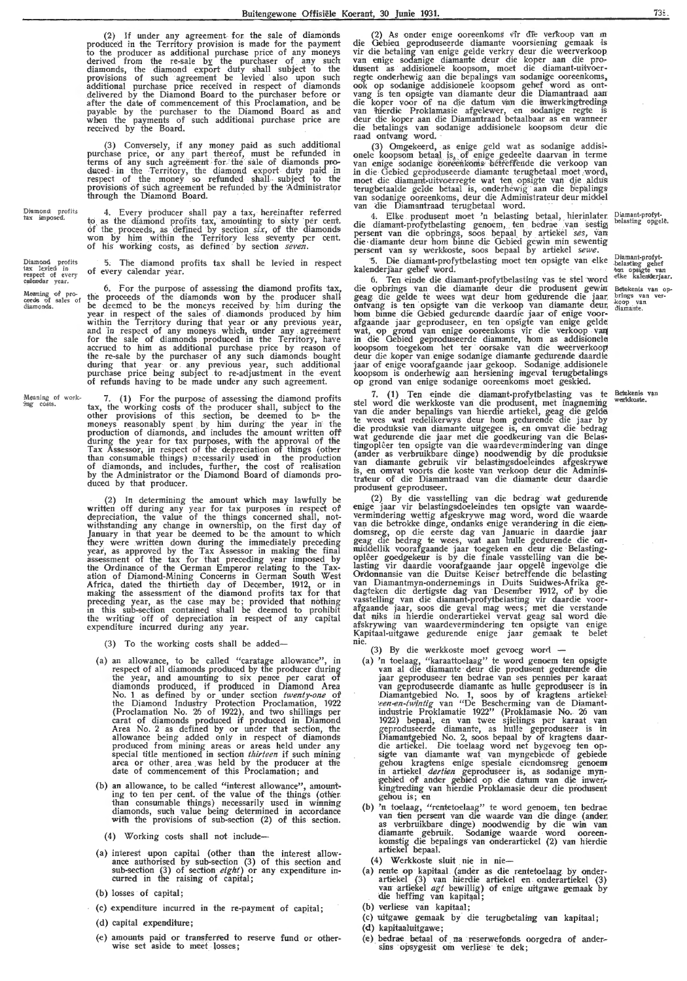(2) If under any agreement for the sale of diamonds produced in the Territory provision is made for the payment to the producer as additional purchase price of any moneys derived from the re-sale by the purchaser of any such: diamonds, the diamond export duty shall subject to the provisions of such agreement be levied also upon such additional purchase price received in respect of diamonds delivered by the Diamond Board to the purchaser before or after the date of commencement of this Proclamation, and be payable by the purchaser to the Diamond Board as and when the payments of such additional purchase price are received by the Board.

(3) Conversely, if any money paid as such additional purchase price, or any part thereof, must be refunded in terms of any such agreement for the sale of diamonds produced in the Territory, the diamond export duty paid in respect of the money so refunded shall subject to the provisions of such agreement be refunded by the Administrator through the Diamond Board.

Diamondi profits<br>tax imposed.

Diamond profits<br>tax levied in<br>respect of every<br>cadendar year.

4. Every producer shall pay a tax, hereinafter referred to as the diamond profits tax, amounting to sixty per cent.<br>of the proceeds, as defined by section *six*, of the diamonds<br>won by him within the Territory less seventy per cent. of his working costs, as defined by section *seven.* 

5, The diamond profits tax shall be levied in respect of every calendar year.

Meaning of pro-<br>ceeds of sales of<br>diamonds. 6. For the purpose of assessing the diamond profits tax, the proceeds of the diamonds won by the producer shall be deemed to be the moneys received by him during the year in respect of the sales of diamonds produced by him within the Territory during that year or any previous year, and in respect of any moneys which, under any agreement<br>for the sale of diamonds produced in the Territory, have accrued to him as additional purchase price by reason of the re-sale by the purchaser of any such diamonds bought during that year or . any previous year, such additional purchase price being subject *to* re-adjustment in the event of refunds having to be made under any such agreement.

Meaning of work-<br>*ing* costs. 7. (1) For the purpose of assessing the diamond profits tax, the working costs of the producer shall, subject to the other provisions of this section, be deemed to  $b$ <sup> $\sim$ </sup> the moneys reasonably spent by him during the year in the production of diamonds, and includes the amount written off<br>during the year for tax purposes, with the approval of the Tax Assessor, in respect of the depreciation of things (other than consumable things) necessarily used in the production of diamonds, and includes, further, the cost of realisation by the Administrator or the Diamond Board of diamonds produced by that producer.

> (2) In determining the amount which may lawfully be written off during any year for tax purposes in respect of depreciation, the value of the things concerned shall, notwithstanding any change in ownership, on the first day of January in that year be deemed to be the amount to which they were written down during the immediately preceding year, as approved by the Tax Assessor in making the final assessment of the tax for that preceding year imposed by the Ordinance of the German Emperor relating to the Taxation of Diamond-Mining Concerns in German South West Africa, dated the thirtieth day of December, 1912, or in making the assessment of the diamond profits tax for that preceding year, as the case may be; provided that nothing in this sub-section contained shall be deemed to prohibit the writing off of depreciation in respect of any capital expenditure incurred during any year.

(3) To the working costs shall be added-

- (a) an allowance, to be called "caratage allowance", in respect of all diamonds produced by the producer during the year, and amounting to six pence per carat of diamonds produced, if produced in Diamond Area No. 1 as defined by or under section *twenty-one* of the Diamond Industry Protection Proclamation, 1922 (Proclamation No. 26 of 1922), and two shillings per carat of diamonds produced if produced in Diamond Area No. 2 as defined by or under that section, the allowance being added only in respect of diamonds produced from mining areas or areas held under any special title mentioned in section *thirteen* if such mining area or other , area . was held by the producer at the date of commencement of this Proclamation; and
- (b) an allowance, to be called "interest allowance", amounting to ten per cent. of the value of the things (other.<br>than consumable things) necessarily used in winning diamonds, such value being determined in accordance with the provisions of sub-section (2) of this section.

(4) Working costs shall not include-

- (a) interest upon capital (other than the interest allow-<br>ance authorised by sub-section (3) of this section and sub-section (3) of section *eight)* or any expenditure incurred in the raising of capital;
- (b) losses of capital;
- ( c) expenditure incurred in the re-payment of capital;
- (d) capital expenditure;
- (e) amounts paid or transferred to reserve fund or otherwise set aside to meet losses ;

(2) As onder enige ooreenkoms vir die verkoop van m die Gebied geproduseerde diamante voorsiening gemaak is vir die betaling van enige gelde verkry deur die weerverkoop<br>van enige sodanige diamante deur die koper aan die pro-<br>dusent as addisionele koopsom, moet die diamant-uitvoerregte onderhewig aan die bepalings van sodanige ooreenkoms,<br>ook op sodanige addisionele koopsom gehe<u>f</u> word as ontvang is ten opsigte van diamante deur die Diamantraad aan<br>die koper voor of na die datum van die inwerkingtreding<br>van 'hierdie Proklamasie afgelewer, en sodanige regte is deur die koper aan die Diamantraad betaalbaar as en wanneer die betalings van sodanige addisionele koopsom deur die raad ontvang word. ·

(3) Omgekeerd, as enige geld wat as sodanige addisionele koopsom betaal is, of enige gedeelte daarvan in terme<br>van enige sodanige ooreenkoms betreflende die verkoop van<br>in die Gebied geproduseerde diamante terugbetaal moet word, moet die diamant-uitvoerregte wat ten opsigte van die aldus<br>terugbetaalde gelde betaal is, onderhewig aan die bepalings<br>van sodanige ooreenkoms, deur die Administrateur deur middel<br>van die Diamantraad terugbetaal word.

4. Elke produsent moet 'n belasting betaal, hierinlater.<br>die diamant-profytbelasting genoem, ten bedrae van sestig persent van die opbrings, soos bepaal by artiekel *ses*, van die diamante deur hom binne die Gebied gewin min sewentig persent van sy werkkoste, soos bepaal by artiekel sewe.

5. Die diamant-profytbelasting moet ten opsigte van elke kalenderjaar gehef word.

6. Ten einde die diamant-profytbelasting vas te stel \vord die opbrings van die diamante deur die produsent gewin geag die gelde te wees wat deur hom gedurende die jaar, ontvang is ten opsigte van die verkoop van diamante deur,<br>hom binne die Gebied gedurende daardie jaar of enige voor-<br>afgaande jaar geproduseer, en ten opsigte van enige gelde wat, op grond van enige ooreenkoms vir die verkoop . **vaq**  in die Gebied geproduseerde diamante, hom as addisionele koopsom toegekom het ter oorsake van die weerverkoop deur die koper van enige sodanige diamante gedurende daardie<br>jaar of enige voorafgaande jaar gekoop. Sodanige addisionele koopsom is onderhewig aan hersiening ingeval terugbetalings op grand van enige sodanige ooreenkoms moet geskied.

7. (1) Ten einde die diamant-profytbelasting vas te stel word die werkkoste van die produsent, met inagneming<br>van die ander bepalings van hierdie artiekel, geag die gelde te wees wat redelikerwys deur horn gedurende die jaar by die produksie van diamante uitgegee is, en omvat die bedrag wat gedurende die jaar met die goedkeuring van die Belastingopleer ten opsigte van die waardevermindering van dinge (ander as verbruikbare dinge) noodwendig by die produksie<br>van diamante gebruik vir belastingsdoeleindes afgeskrywe is, en omvat voorts die koste van verkoop deur die Adminis-<br>trateur of die Diamantraad van die diamante deur daardie produsent geproduseer.

(2) By die vasstelling van die bedrag wat gedurende enige jaar vir belastingsdoeleindes ten opsigte van waarde: vermindering wettig afgeskrywe mag word, word die waarde<br>van die betrokke dinge, ondanks enige verandering in die eiendomsreg, op die eerste dag van Januarie in daardie jaar geag die bedrag te wees, wat aan hulle gedurende die on-<br>middellik voorafgaande jaar toegeken en deur die Belasting-<br>oplêer goedgekeur is by die finale vasstelling van die be-<br>lasting vir daardie voorafgaande jaar opgelê i Or'donnansie van die Duitse Ke iser betreffende die belasting van Diamantmyn-ondernemings in Duits Suidwes-Afrika gedagteken die dertigste dag van Desem'her 1912, of by die vasstelling van die diamant-profytbelasting vir daardie voor-<br>afgaande jaar, soos die geval mag wees; met die verstande dat niks in hierdie onderartiekel vervat geag sal word die,<br>afskrywing van waardevermindering ten opsigte van enige Kapitaal-uitgawe gedurende enige jaar gemaak te belet nie.

- (3) By die werkkoste moet gevoeg worri -
- (a) 'n toelaag, "karaattoelaag" te word genoem ten opsigte van al die diamante · deur die produsent gedurende die jaar geproduseer ten bedrae van ses pennies per karaat<br>van geproduseerde diamante as hulle geproduseer is in Diamantgebied No. 1, soos by of kragtens artiekel een-en-twintig van "De Bescherming van de Diamantindustrie Proklamatie 1922" (Proklamasie No. 26 van<br>1922) bepaal, en van twee sjielings per karaat van<br>geproduseerde diamante, as hulle geproduseer is in Diamantgebied No. 2, soos bepaal by of kragtens daar- die artiekel. Die toelaag word net bygevoeg ten opsigte van diamante wat van myngebiede of gebiede gehou kragtens enige spesiale eiendomsreg genoem in artiekel *dertien* geproduseer is, as sodanige myn-<br>gebied of ander gebied op die datum van die inwer-<br>kingtreding van hierdie Proklamasie deur die produsent<br>gehou is; en
- (b) 'n toelaag, "rentetoelaag" te word genoem, ten bedrae<br>van tien persent van die waarde van die dinge (ander,<br>as verbruikbare dinge) noodwendig by die win van<br>diamante gebruik. Sodanige waarde word ooreen-<br>komstig die be artiekel bepaal.

(4) Werkkoste sluit nie in nie-

- (a) rente op kapitaal (ander as die rentetoelaag by onderartiekel (3) van hierdie artiekel en onderartiekel (3) van artiekel *agt* bewillig) of enige uitgawe gemaak by die heffing van kapitaal;
- (b) verliese van kapitaal;
- (c) uitgawe gemaak by die terugbetaling van kapitaal;
- (d) kapitaaluitgawe;
- (e) bedrae betaal of na reserwefonds oorgedra of ander-sins opsygesit om verliese te dek;

Diamant-profyt-<br>belasting opgelê.

Diamant-profyt-<br>belasting gehef<br>ten opsigte van<br>elke kalenderjaar,

Bettekenis van opbrings van ver-<br>koop van<br>diamante.

Betekenis van<br>werkkoste.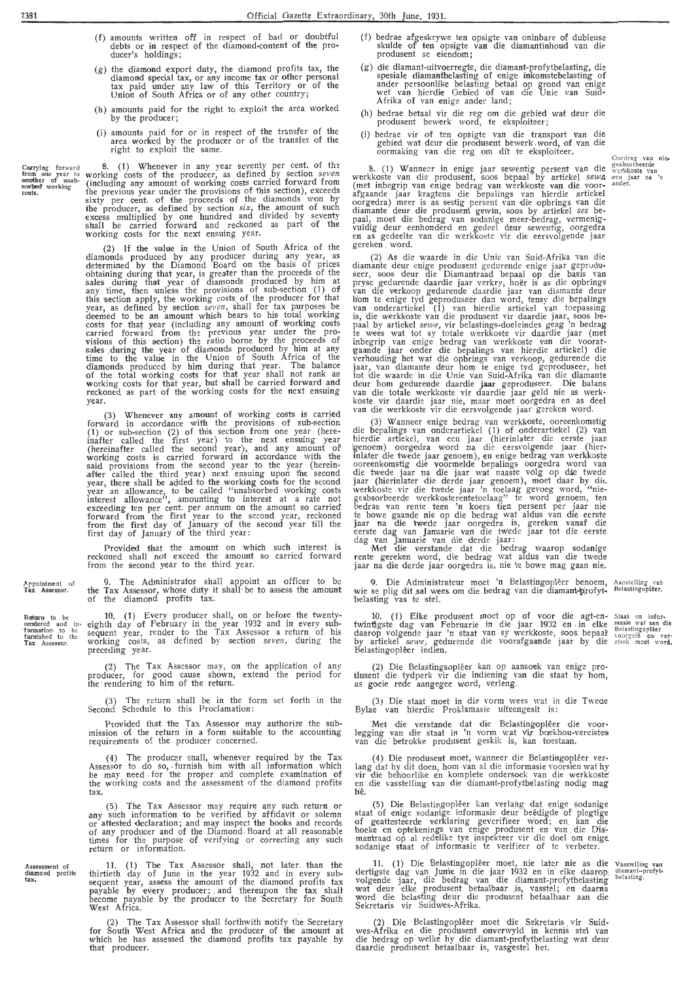- (f). amounts written off in respect of bad or doubtful debts or in respect of the diamond-content of the producer's holdings;
- $(g)$  the diamond export duty, the diamond profits tax, the diamond special tax, or any income tax or other personal tax paid under any law of this Territory or of the Union of South Africa or of any other country;
- (h) amounts paid for the right to exploit the area worked by the producer;
- (i) amounts paid for or in respect of the transfer of the area worked by the producer or of the transfer of the right to exploit the same.

Carrying forward<br>from one year to<br>another of unab-<br>sorbed working<br>costs. 8. (1) Whenever in any year seventy per cent. of the working costs of the producer, as defined by section *seven* (including any amount of working costs carried forward from the previous year under the provisions of this section), exceeds sixty per cent. of the proceeds of the diamonds won by the producer, as defined by section *six*, the amount of such excess multiplied by one hundred and divided by seventy shall be carried forward and reckoned as part of the working costs for the next ensuing year.

> (2) If the value in the Union of South Africa of the diamonds produced by any producer during any year, as determined by the Diamond Board on the basis of prices obtaining during that year, is greater than the proceeds of the sales during that year of diamonds produced by him at any time, then unless the provisions of sub-section  $(1)$  of this section apply, the working costs of the producer for that year, as .defined by section *seven,* shall for tax purposes be deemed to be .an amount which bears *to* his total working costs for that year (including any amqunt of working costs carried forward from the previous year under the provisions of this section) the ratio borne by the proceeds of sales during the year of diamonds produced by him at any time to the value in the Union of South Africa of the diamonds produced by him during that year. The balance of the total working costs for that year shall not rank as working costs for that year, but shall be carried forward and reckoned as part of the working costs for the next ensuing year.

> (3) Whenever any amount of working costs is carried forward in accordance with the provisions of sub-section (1) or sub-section  $(2)$  of this section from one year (hereinafter called the first year) to the next ensuing year (hereinafter called the second year), and any amount of working costs is carried forward in accordance with the said provisions from the second year to the year (herein-<br>after called the third year) next ensuing upon the second year, there shall be added *to* the working costs for the second year an allowance, to be called "unabsorbed working costs interest allowance", amounting to interest at a rate not exceeding ten per cent. per annum on the amount so carried forward from the first year to the second year, reckoned from the first day of January of the second year till the first day of January of the third year:

> Provided that the amount on which such interest is reckoned shall not exceed the amount so carried forward from the second year to the third year.

> 9. The Administrator shall appoint an officer *to* be the Tax Assessor, whose duty it shall · be to assess the amount of the diamond profits tax.

-Return to be<br>
rendered and in-<br>
formation to be<br>
furnished to the 10. (1) Every producer shall, on or before the twentyeighth day of February in the year 1932 and in every subsequent year, render to the Tax Assessor a return of. his working costs, as defined by section *seven,* during the preceding year.

> (2) The Tax Assessor may, on the application of any producer, for good cause shown, extend the period for the rendering to him of the return.

> (3) The return shall be in the form set forth in the Second Schedule *to* this Proclamation:

> Provided that the Tax Assessor may authorize the submission of the return in a form suitable to the accounting requirements of the producer concerned.

(4) The producer snall, whenever required by the Tax Assessor to do so, furnish him with all information which he may need for the proper and complete examination of the working costs and the assessment of the. diamond profits' tax.

(5) The Tax Assessor may require any such return or any such information to be verified by affidavit or solemn or attested declaration ; and may inspect the books and records of any producer and of the Diamond. Board at all reasonable times for the purpose of verifying or correcting any such return or information.

Assessment of<br>diamond profits<br>tax, 11. ( 1) The Tax Assessor shall, not later. than the thirtieth day of June in the year 1932 and in every sub- sequent year, assess the amount of the diamond profits tax payable by every producer; and thereupon the tax shall become payable by the producer to the Secretary for South West Africa.

> (2) The Tax Assessor shall forthwith notify the Secretary for South West Africa and the producer of the amount at which he has assessed the diamond profits tax payable by, that producer.

- (f) bedrae afgeskrywe ten opsigte van oninbare of dubieuse skulde of ten opsigte van die diamantinhoud van die produsent se eiendom;
- (g) die diamant-uitvoerregte, die diamant-profytbelasting, die spesiale diamantbelasting of enige inkomstebelasting of ander persoonlike belasting betaal op grond van enige wet van hierdie Gebied of van die Unie van Suid-.<br>Afrika of van enige ander land;
- (h) bedrae betaal vir die reg om die gebied wat deur die produsent bewerk word, te eksploiteer;
- (i) bedrae vir of ten opsigte van die transport van die gebied wat deur die produsent bewerk word, of van die<br>oormaking van die reg om dit te eksploiteer.

8. (1) Wanneer in enige jaar sewentig persent van die werkkoste van die produsent, soos bepaal by artiekel *sewe*<br>(met inbegrip van enige bedrag van werkkoste van die voor-<br>afgaande jaar kragtens die bepalings van hierdie artiekel oorgedra) meer is as sestig persent van die opbrings van die diamante deur die produsent gewin, soos by artiekel *ses* bepaal, moet die bedrag van sodanige meer-bedrag, vermenigvuldig deur eenhonderd en gedeel deur sewentig, oorgedra<br>en as gedeelte van die werkkoste vir die eersvolgende jaar gereken . word.

(2) As die waarde in die Unie van Suid-Afrika van die diamante deur enige produsent gedurende enige jaar geproduseer, soos deur die Diamantraad bepaal op die basis van<br>pryse gedurende daardie jaar verkry, hoër is as die opbrings<br>van die verkoop gedurende daardie jaar van diamante deur<br>hom te enige tyd geproduseer dan word, tensy die is, die werkkoste van die produsent vir daardie jaar, soos be-paal by artiekel *sewe,* vir belastings-doeleindes geag 'n bedrag te wees wat tot sy totale werkkoste vir daardie jaar (met inbegrip van enige bedrag van werkkoste van die voorat- rgaande jaar onder die bepalings van hierdie artiekel) die verhouding het wat die opbrings van verkoop, gedurende die jaar, van diamante deur horn te enige tyd geproduseer, het tot die waarde in die Unie van Suid-Afrika van die diamante deur hom gedurende daardie **jaa**r geproduseer. Die balans.<br>van die totale werkkoste vir daardie jaar geld nie as werkkoste vir daardie jaar ·nie, maar moet oorgedra en as deel van die werkkoste vir die eersvolgende jaar gereken word.

(3) Wanneer enige bedrag van werkkoste, ooreenkomstig die bepalings van onderartiekel (1) of onderartiekel (2) van hierdie artiekel, van een jaar (hierinlater die eerste jaar. igenoem) oorgedra word na die eersvolgende jaar (hierinlater die twede jaar genoem), en enige bedrag van werkkoste ooreenkomstig die voormelde bepalings oorgedra word van die twede jaar na die jaar wat naaste volg op die twede<br>jaar (hierinlater die derde jaar genoem), moet daar by dit. werkkoste vir die twede jaar 'n toelaag gevoeg word, "niegeabsorbeerde werkkosterentetoelaag" te word genoem, ten bedrae van rente teen 'n koers tien persent per jaar nie te bowe gaande nie op die bedrag wat aldus van die eerste jaar na die twede jaar oorgedra is, gereken vanaf die eerste dag van Januarie van die derde jaar:<br>dag van Januarie van die derde jaar:

;Met die verstande dat die bedrag waarop sodanige rente gereken word, die bedrag wat aldus van die twede jaar na die derde jaar oorgedra is, nie te bowe mag gaan nie.

9. Die Administrateur moet 'n Belastingopleer benoem, wie se plig dit sal wees om die bedrag van die diamant-profyt-<br>belasting vas te stel.

10. (1) Elke produsent moet op of voor die agt-entwintigste dag van Februarie in die jaar 1932 en in elke daarop volgende jaar 'n staat van sy werkkoste, soos bepaal by artiekel *sewe,* gedurende die voorafgaande jaar by die Belastingoplêer indien.

(2) Die Belastingsopleer kan op aansoek van enige protlusent die tydperk vir die indiening van die staat by hom,<br>as goeie rede aangegee word, verleng.

(3) Die staat moet in die vorm wees wat in die Twede Bylae van hierdie Proklamasie uiteengesit is:

:Met die verstande dat die Belastingoplêer die voor- legging van die staat in 'n vorm wat vir boekhou-vereistes van die betrokke produsent geskik is, kan toestaan.

(4) Die produsent moet, wanneer die Belastingopleer ver- lang dat hy dit doen, horn -van al die informasie voorsien wat hy vir die behoorlike en komplete ondersoek van die werkkoste:<br>en die vasstelling van die diamant-profy.tbelasting nodig mag h'e.

(5) Die Belastingopleer kan verlang dat enige sodanige staat of enige sodanige informasie deur beedigde of plegtige of geattesteerde verklaring geverifieer word; en kan die boeke en optekenings van enige produsent en van die Dia mantraad op al redelike tye inspekteer vir die doel om enige. sodanige staat of informasie te verifieer of te verbeter.

11. (1) Die Belastingoplêer moet, nie later nie as die dertigste dag van Junie in die jaar 1932 en in elke daarop; volgende jaar, die bedrag van die diamant-profytbelasting wat deur elke produsent betaalbaar is, vasstel; en daarna word die belasting deijr die produsent betaalbaar aan die Sekretaris vir Suidwes-Afrika. vasset ling van<br>diamant--profyt-<br>belasting, belasting.

(2) Die Belastingopleer moet die Sekretaris vir Suid-<br>wes-Afrika en die produsent onverwyld in kennis stel van<br>die bedrag op welke hy die diamant-profytbelasting wat deur cl.aardie produsent betaalbaar is, Yasgestel het.

Staat en infor-<br>masie wat aan die<br>Belastingopleer<br>voorgele en ver-<br>strek moet word.

Oordrag van nie-<br>geabsorbeerde<br>werkkoste van<br>een- jaar na 'n ander.

Appointment of Tax Assessor.

Assessor.

Aanstelling van Belastingoplêer.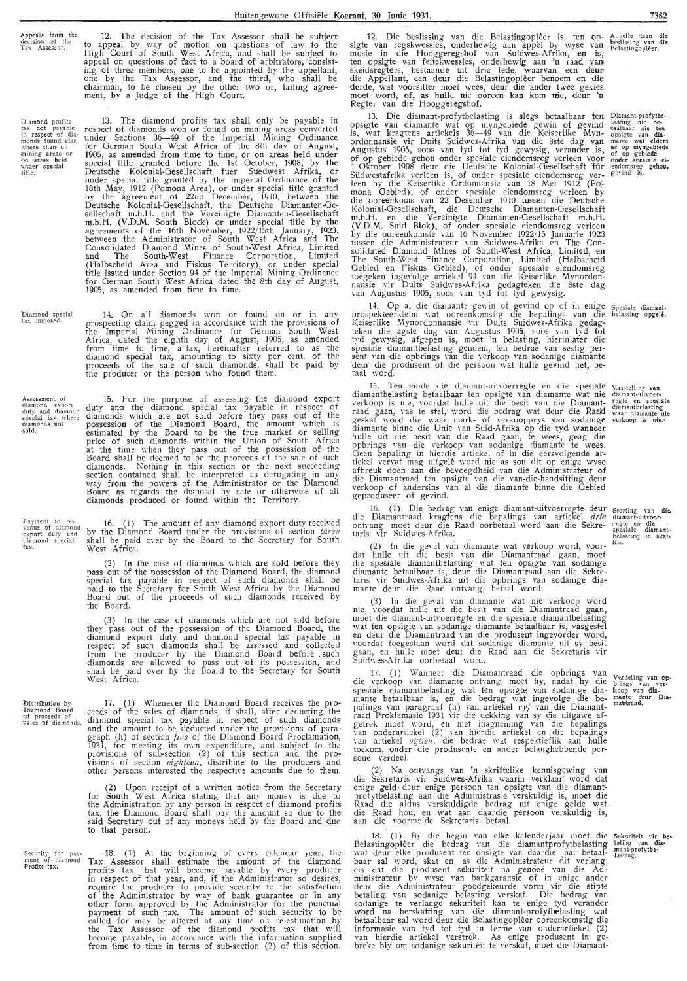Appeals from ihe decision of the Tax Assessor.

Diamond profits<br>tax not payable<br>in, respect of dia-<br>monds found else-<br>where than on<br>mining areas or<br>on areas held<br>title.<br>title.

13. The diamond profits tax shall only be payable in respect of diamonds won or found on mining areas converted under Sections 36-49 of the Imperial Mining Ordinance for German South W-est Africa of the 8th day of August, 1905, as amended from time to time, or on areas held under special title granted before the 1st October, 1908, by the Deutsche Kolonial-Gesellschaft fuer Suedwest Afrika, or under-special title granted by the Imperial Ordinance of the 18th May, 1912 (Pomona Area), or under special title granted by the agreement of 22nd December, 1910, between the Deutsche Kolonial-Gesellschaft, the Deutsche Diamanten-Gesellschaft m.b.H. and the Vereinigte Diamanten-Gesellschaft m.b.H. (V.D.M. South Block) or under special title by the agreements of the 16th November, 1922/15th January, 1923, between the Administrator of South West Africa and The Consolidated Diamond Mines of South-West Africa, Limited and The South-West Finance Corporation, Limited (Halbscheid Area and Fiskus Territory), or under special title issued under Section 94 of the Imperial Mining Ordinance for German South W,est Africa dated the 8th day of August, 1905, as amended from time *to* time.

12. The decision of the Tax Assessor shall be subject to appeal by way of motion on questions of law to the High Court of South West Africa, and shall be subject to appeal on questions of **fact** to a board of arbitrators, consisting of- three members, one *to* be appointed by the appellant, one •by the Tax Assessor, and the third, who shall be chairman, to be chosen by the other two or, failing agree-ment, by a Judge of the High Court.

Diamond special<br>tax imposed. 14. On all diamonds won or found on or in any prospecting claim pegged in accordance with the provisions of the Imperial Mining Ordinance for German South West Africa, dated the eighth day of . August, 1905, as amended from time to time, a tax, hereinafter referred to as the diamond special tax, amounting to sixty per cent. of the proceeds of the sale of such diamonds, shall be paid by the producer or the person who found them.

-Assessment of<br>•diamond exporu<br>•duty and diamond special tax where<br>·diamonds not<br>-sold. 15. For the purpose of assessing the diamond export duty and the diamond special tax payable in respect of diamonds which are not sold before they pass out of the possession of the Diamond Board, the amount which is<br>estimated by the Board to be the true market or selling price of such diamonds within the Union of South Africa at the time when they pass out of the possession of the Board shall be deemed to be the proceeds of the sale of such diamonds. Nothing in this section or the next succeeding section contained shall be interpreted as derogating in any<br>way from the powers of the Administrator or the Diamond Board as regards the disposal by sale or otherwise of all diamonds produced or found within the Territory.

Payment to re-<br>
venue of diamond<br>
•export duty and<br>
•diamond special<br>
•tax. 16. ( 1) The amount of any diamond export duty received by the Diamond Board under the provisions of section *three* shall be paid over by the Board to the Secretary for South West Africa.

> (2) In the case of diamonds which are sold before they pass out of the possession of the· Diamond Board, the diamond special tax payable in respect of such diamonds shall be paid to the Secretary for South West Africa by the Diamond Board out of the proceeds of such diamonds received by the Board.

> (3) In the case of diamonds which are not sold before they pass out of the possession of the Diamond Board, the diamond export duty and diamond special tax payable in respect of such diamonds shall be assessed and collected from the producer by the Diamond Board before such diamonds are allowed to pass out of its possession, and shall be paid over by the Board to the Secretary for South West Africa.

Distribution by<br>Diamond Board<br>of proceeds of<br>sales of diamonds. 17. (1) Whenever the Diamond Board receives the proceeds of the sales of diamonds, it shall, after deducting the diamond special tax payable in respect of such diamonds and the amount to be deducted under the provisions of paragraph (h) of section *five* of the Diamond Board Proclamation, 1931, for meeting its own expenditure, and subject to the provisions of sub-section (2) of this section and the provisions of section *eighteen,* distribute to the producers and other persons interested the respective amounts due to them.

> (2) Upon receipt of a written notice from the Secretary for South West Africa stating that any money is due to the Administration by any person in respect of diamond profits tax, the Diamond Board shall pay the amount so due to the said Secretary out of any moneys held by the Board and due<br>to that person.

'Security for pay-ment of diamond Profits **tax.**   $\cdot$  18. (1) At the beginning of every calendar year, the Tax Assessor shall estimate the amount of the diamond profits tax that will become payable by every producer in respect of that year, and, if the Administrator so desires, require the producer to provide security to the satisfaction of the Administrator by way of bank guarantee or in any other form - approved by the Administrator for the punctual payment of such tax. The amount of · such security to be called for may be altered at any time on re-estimation by the Tax Assessor of the diamond profits tax that will become payable, in accordance with the information supplied from time to time in terms of sub-section (2) of this section.

12. Die beslissing van die Belastingopleer is, ten opsigte van regskwessies, onderhewig aan appel by wyse van mosie in die Hooggeregshof van Suidwes-Afrika, en is, ten opsigte van feitekwessies, onderhewig aan 'n raad van<br>skeidsregters, bestaande uit drie lede, waarvan een deur die Appellant, een deur die Belastingopleer benoem en die derde, wat voorsitter moet wees, deur die antler twee gekies. moet word, of, as hulk nie ooreen kan. kom nie, deur 'n Regter van die Hooggeregshof.  $\blacksquare$ 

13. Die diamant-profytbelasting is slegs betaalbaar ten opsigte van diamante wat op myngebiede gewin of gevind<br>is, wat kragtens artiekels 36—49 van die Keiserlike Mynordonnansie vir Duits. Suidwes-Afrika van die 8ste dag van<br>Augustus 1905, soos van tyd tot tyd gewysig, verander is, of op gebiede gehou onder spesiale eiendomsreg verleen voor<br>1 Oktober 1908 deur die Deutsche Kolonial-Oesellschaft für Südwestafrika verleen is, of onder spesiale eiendomsreg ver-<br>leen by die Keiserlike Ordonnansie van 18 Mei 1912 (Po;-<br>mona Gebied), of onder spesiale eiendomsreg verleen by die ooreenkoms van 22 Desember 1910 tussen die Deutsche Kolonial-Oesellschaft, die Deutsche Diamanten-Gesellschaft m.b.H. en die Vereinigte Diamanten-Gesellschaft m.b.H. (V.D.M. Suid Blok), of onder spesiale eiendomsreg verleen by die ooreenkomste van 16 November 1922/15 Januarie 1923 tussen die Administrateur van Suidwes-Afrika en The Consolidated Diamond Mines of South-West Africa, Limited, en<br>The South-West Finance Corporation, Limited (Halbscheid Gebied en Fiskus Gebied), of onder spesiale eiendomsreg toegeken ingevolge artiekel 94 van die Keiserlike Mynordonnansie vir Duits Suidwes-Afrika gedagteken die 8ste dag<br>van Augustus 1905, soos van tyd tot tyd gewysig.

14. Op al die diamante gewin of gevind op of in enige prospekteerkleim wat ooreenkomstig die bepalings van die Keiserlike Mynordonnansie yir Duits Suidwes-Afrika gedagteken die agste dag van Augustus 1905, soos van tyd tot tyd gewysig, afgepen is, moet 'n belasting, hierinlater die spesiale diamantbelasting genoem, ten bedrae van sestig per-<br>sent van die opbrings van die verkoop van sodanige diamante deur die produsent of die persoon wat hulle gevind het, be-.<br>taal word.

15. Ten einde die diamant-uitvoerregte en die spesiale diamantbelasting betaalbaar ten opsigte van diamante wat nie verkoop is nie, voordat hulle uit die besit van die Diam**ant-**<br>raad gaan, vas te stel, word die bedrag wat deur die Raald geskat \\'Ord die waar mark- of verkoopprys van sodanige diamante binne die Unie \·an Suid-Afrika op die tyd **wanneer** <sup>1</sup> mlle uit die besit van die Raad gaan, te wees, geag die opbrings van -die verkoop van sodanige diamante te wees.<br>Geen bepaling in hierdie artiekel of in die eersvolgende ar-<br>tiekel vervat mag uitgelê word nie as sou dit op enige wyse afbreuk doen aan die bevoegdheid \·an die Administrateur of die Diamantraad ten opsigte van die van-die-handsitting deur verkoop of andersins van al die diamante binne die Gebied geproduseer of gevind.

16. (1) Die bedrag van enige diamant-uitvoerregte deur die Diamantraad kragtens die bepalings van artiekel *drie*  ontvang moet deur die Raad oorbetaal word aan die Sekretaris vir Suidwes-Afrika.

(2) In die ge\·al van diamante wat verkoop word, voor- dat hulle uit die besit \·an die Diamantraad gaan, moet die spesiale diamantbelasting wat ten opsigte van sodanige diamante betaalbaar is, deur die Diamantraad aan die Sekretaris vir Suidwes-Afrika uit die opbrings van sodanige diamante deur die Raad ontvang, betaal word.

(3) In die geval van diamante wat nie verkoop word nie, voordat hulle uit die besit van die Diamantraad gaan, moet die diamant-uitvoerregte en die spesiale diamantbelasting wat ten opsigte van sodanige diamante betaalbaar is, vasgestel<br>en deur die Diamantraad van die produsent ingevorder word, voordat toegestaan word dat sodanige di\_amante uit sy besit gaan, en hulle moet deur die Raad aan die Sekretaris vir Suidwes-Afrika oorbetaal word.

17. (1) Wanneer die Diamantraad die opbrings van die verkoop van diamante ontvang, moet hy, nadat hy die spesiale diamantbelasting wat ten opsigte van sodanige diamante betaalbaar is, en die bedrag wat ingevolge die be-<br>palings van paragraaf (h) van artiekel *vyf* van die Diamantraad Proklamasie 1931 vir die dekking van sy eie uitgawe afgetrek moet word, en met inagneming van die bepalings<br>van onderartiekel (2) van hierdie artiekel en die bepalings<br>van artiekel *agtien,* die bedrae wat respektieflik aan hulle toekom, onder die produsente en ander belanghebbende per-<br>sone verdeel.

(2) Na ontvangs van 'n skriftelike kennisgewing van die Sekretaris vir Suidwes-Afrika waarin verklaar word <lat enige geld deur enige persoon ten opsigte van die diamantprofytbelasting aan die Administrasie verskuldig is, moet die Raad die aldus verskuldigde bedrag uit enige ge1de wat die Raad hou, en wat aim daardie persoon verskuldig is, aan die voormelde Sekretaris betaal.

18. (1) By die begin van elke kalenderjaar moet die Belastingoplêer die bedrag van die diamantprofytbelasting wat deur elke produsent ten opsigte van daardie jaar betaalbaar sal word, skat en, as die Administrateur dit verlang, eis dat die produsent sekuriteit na genoeë van die Administrateur by wyse van bankgaransie of in enige ander deur die Administrateur goedgekeurde vorm vir die stipte betaling van sodanige belasting verskaf. Die bedrag van<br>sodanige te verlange sekuriteit kan te enige tyd verander word na herskatting van die diamant-profytbelasting wat betaalbaar sal word deur die Belastingopleer ooreenkomstig die informasie van tyd tot tyd in terme van onderartiekel (2) van hierdie artiekel \'erstrek. As enige produsent in gebreke bly om sodanige sekuriteit te verskaf, moet die Diamant-Sekuriteit vir be-<br>taling van dia-<br>mant-profytbe-<br>dasting.

Appelle teen die<br>beslissing van die<br>Belastingopl**êer.** 

Diamant-profytbe-<br>
lasting nie be-<br>
opsigte van dia-<br>
mante wat elders<br>
as op myngebiede<br>
of op gebiede<br>
ornder spesiale ei-<br>
endomsreg gehou,<br>
gevind is.

Spesiale diamant.<br>belasting opgele.

V,asstelling van<br>diamant-uitvoer<br>regte en spesiale<br>diamantbelasting waar diamante n<br>verkoop is nie.

Storting van die diamant-uitvoer-<br>pegte em die<br>spesiale diamant-<br>belasting in skat-<br>kis.

Verdeling van op-<br>brings van ver-<br>koop van dia-<br>mante deur Dia-<br>mantraad.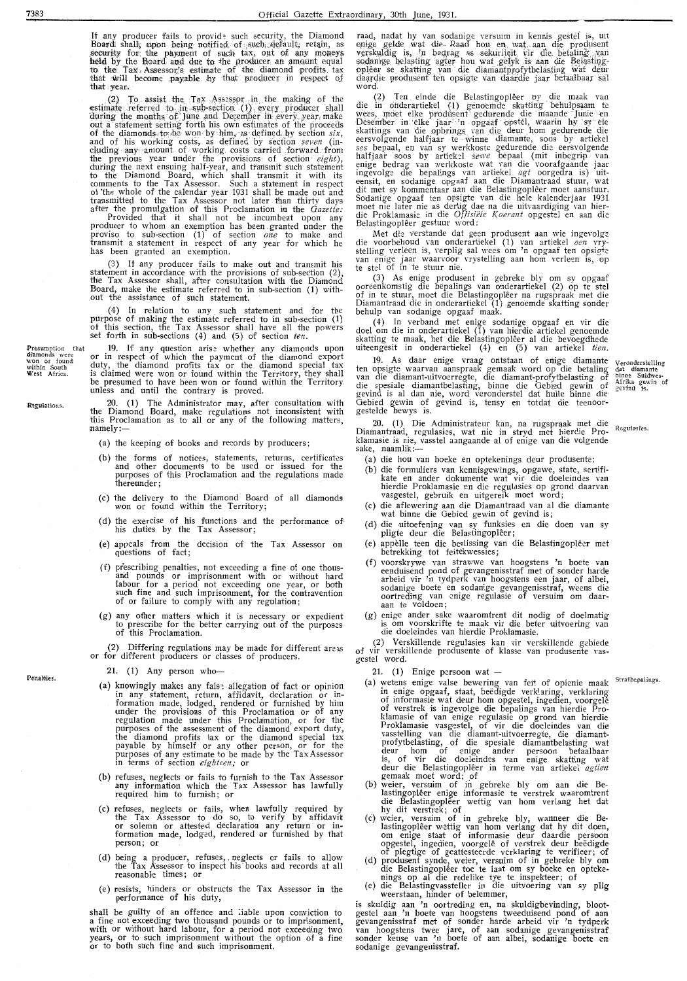If any producer fails to provide such security, the Diamond<br>Board shall, upon being notified of such algebrall; retain, as<br>security for the payment of such tax, out of any moneys<br>held by the Board and due to the producer a that wear.

that wear.<br>
(2) To. assist the Tay Assessor, in the making of the stimate referred to in sub-section (1) every producer shall during the months of June and December in every year, make out a statement setting forth his ow

has been granted an exemption.

(3) If any producer fails to make out and transmit his statement in accordance with the provisions of sub-section  $(2)$ , the Tax Assessor shall, after consultation with the Diamond Board, make the estimate referred to in

(4) In relation to any such statement and for the purpose of making the estimate referred to in sub-section (1) of this section, the Tax Assessor shall have all the powers set forth in sub-sections (4) and (5) of section

or the mean case of the mean of the payment of the diamonds upon<br>or in respect of which the payment of the diamond export<br>duty, the diamond profits tax or the diamond special tax<br>is claimed were won or found within the Ter

20. (1) The Administrator may, after consultation with the Diamond Board, make regulations not inconsistent with this Proclamation as to all or any of the following matters, mamely:

- (a) the keeping of books and records by producers;
- (b) the forms of notices, statements, returns, certificates<br>and other documents to be used or issued for the<br>purposes of this Proclamation and the regulations made thereunder:
- (c) the delivery to the Diamond Board of all diamonds won or found within the Territory;
- (d) the exercise of his functions and the performance of his duties by the Tax Assessor;
- (e) appeals from the decision of the Tax Assessor on questions of fact;
- (f) prescribing penalties, not exceeding a fine of one thous-<br>and pounds or imprisonment with or without hard<br>labour for a period not exceeding one year, or both<br>such fine and such imprisonment, for the contravention<br>of or
- (g) any other matters which it is necessary or expedient to prescribe for the better carrying out of the purposes of this Proclamation.

(2) Differing regulations may be made for different areas<br>or for different producers or classes of producers.

21. (1) Any person who-

- (a) knowingly makes any fals: allegation of fact or opinion<br>in any statement, return, affidavit, declaration or in-<br>formation made, lodged, rendered or furnished by him<br>under the provisions of this Proclamation, or for th
- (b) refuses, neglects or fails to furnish to the Tax Assessor any information which the Tax Assessor has lawfully required him to furnish; or
- (c) refuses, neglects or fails, when lawfully required by<br>the Tax Assessor to do so, to verify by affidavit<br>or solemn or attested declaration any return or in-<br>formation made, lodged, rendered or furnished by that person; or
- (d) being a producer, refuses, neglects or fails to allow the Tax Assessor to inspect his books and records at all reasonable times; or
- (e) resists, hinders or obstructs the Tax Assessor in the performance of his duty,

shall be guilty of an offence and liable upon conviction to star is determined a fine not exceeding two thousand pounds or to imprisonment, with or without hard labour, for a period not exceeding two years, or to such imprisonment without the option of a fine or to both such fine a raad, nadat hy van sodanige versuim in kennis gestel is, uit enige gelde wat die Raad hou en wat aan die produsent verskuldig is, 'n bedrag as sekuriteit vir die betaling van sodanige belasting agter hou wat gelyk is aan d word.

word.<br>
(2) Ten einde die Belastingoplêer by die maak van die in ofderartiekel (1) genoemde skatting behulpsaam te wees, moet elke produsent gedurende die maande Junie en Desember in eiele jaar<sup>127</sup>n opgaaf opstel, waarin h

Met die verstande dat geen produsent aan wie ingevolge<br>die voorbehoud van onderartiekel (1) van artiekel een vry-<br>stelling verleen is, verplig sal wees om 'n opgaaf ten opsigte<br>van enige jaar waarvoor vrystelling aan hom v

(3) As enige produsent in gebreke bly om sy opgaaf<br>ooreenkomstig die bepalings van onderartiekel (2) op te stel<br>of in te stuur, moet die Belastingoplêer na rugspraak met die<br>Diamantraad die in onderartiekel (1) genoemde sk

(4) In verband met enige sodanige opgaaf en vir die doel om die in onderartiekel (1) van hierdie artiekel genoemde skatting te maak, het die Belastingoplêer al die bevoegdhede uiteengesit in onderartiekel (4) en (5) van ar

19. As daar enigs vraat aanteer (x) en (x) van article van die term opsigte waarvan aanspraak gemaak word op die betaling<br>ten opsigte waarvan aanspraak gemaak word op die betaling<br>van die diamant-uitvoerregte, die diamant-Veronderstelling dat diamante Afrika gewin of<br>Afrika gewin of<br>gevind is.

20. (1) Die Administrateur kan, na rugspraak met die Diamantraad, regulasies, wat nie in stryd met hierdie Pro-<br>klamasie is nie, vasstel aangaande al of enige van die volgende sake, naamlik:-

- (a) die hou van boeke en optekenings deur produsente;
- (b) die hou van boke en opdekenings oor produsente,<br>
(b) die formuliers van kennisgewings, opgawe, state, sertifi-<br>
kate en ander dokumente wat vir die doeleindes van<br>
hierdie Proklamasie en die regulasies op grond daarvan
- (c) die aflewering aan die Diamantraad van al die diamante wat binne die Gebied gewin of gevind is;
- (d) die uitoefening van sy funksies en die doen van sy pligte deur die Belastingoplêer;
- appèlle teen die beslissing van die Belastingoplêer met betrekking tot feitekwessies;  $(e)$
- becoming the transmission of gevangenisstraf met of sonder harde enduisend pond of gevangenisstraf met of sonder harde arbeid vir 'n tydperk van hoogstens een jaar, of albei, sodanige boete en sodanige gevangenisstraf, wee
- (g) enige ander sake waaromtrent dit nodig of doelmatig<br>is om voorskrifte te maak vir die beter uitvoering van<br>die doeleindes van hierdie Proklamasie.

(2) Verskillende regulasies kan vir verskillende gebiede<br>of vir verskillende produsente of klasse van produsente vas-<br>gestel word.

21. (1) Enige persoon wat  $-$ 

Strafbepalings.

- 21. (1) Enige persoon wat —<br>
(a) wetens enige valse bewering van feit of opienie maak<br>
(a) wetens enige valse bewering van feit of opienie maak<br>
in enige opgaaf, staat, beëdigde verklaring, verklaring<br>
of informasie of van
- 
- 
- 
- 

weerstaan, minder of beteniner,<br>is skuldigbevinding, bloot-<br>gestel aan 'n oortreding en, na skuldigbevinding, bloot-<br>gestel aan 'n boete van hoogstens tweeduisend pond of aan<br>gevangenisstraf met of sonder harde arbeid vir

Presumption ti<br>
diamonds were<br>
won or found<br>
within South<br>
West Africa.

 $_{\text{that}}$ 

Regulations.

Penalties.

7383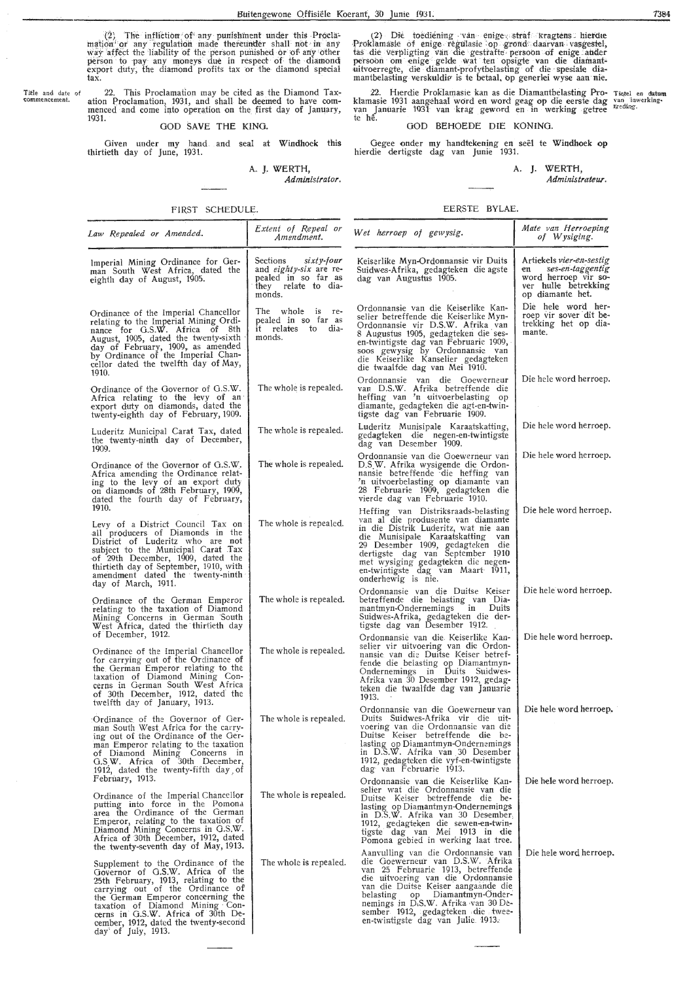(2) The infliction of any punishment under this Procla-<br>mation or any regulation made thereunder shall not in any<br>way affect the liability of the person punished or of any other<br>person to pay any moneys due in respect of t tax.

Title and date of<br>commencement.

22. This Proclamation may be cited as the Diamond Tax-<br>ation Proclamation, 1931, and shall be deemed to have com-<br>menced and come into operation on the first day of January, 1931.

### GOD SAVE THE KING.

Given under my hand and seal at Windhoek this thirtieth day of June, 1931.

A. J. WERTH,

Administrator.

FIRST SCHEDULE.

(2) Die toediening van enige straf kragtens hierdie<br>Proklamasie of enige regulasie op grond daarvan vasgestel,<br>tas die verpligting van die gestrafte persoon of enige ander<br>persoon om enige gelde wat ten opsigte van die dia

22. Hierdie Proklamasie kan as die Diamantbelasting Pro- Tietel en datum<br>klamasie 1931 aangehaal word en word geag op die eerste dag van inwerking-<br>van Januarie 1931 van krag geword en in werking getree \*reding.<br>te hê.

### GOD BEHOEDE DIE KONING.

Gegee onder my handtekening en seël te Windhoek op hierdie dertigste dag van Junie 1931.

A. J. WERTH, Administrateur.

#### EERSTE BYLAE.

| Law Repealed or Amended.                                                                                                                                                                                                                                                                                                        | Extent of Repeal or<br>Amendment.                                                                                  | Wet herroep of gewysig.                                                                                                                                                                                                                                                                                                                         | Mate van Herroeping<br>of Wysiging.                                                                                           |
|---------------------------------------------------------------------------------------------------------------------------------------------------------------------------------------------------------------------------------------------------------------------------------------------------------------------------------|--------------------------------------------------------------------------------------------------------------------|-------------------------------------------------------------------------------------------------------------------------------------------------------------------------------------------------------------------------------------------------------------------------------------------------------------------------------------------------|-------------------------------------------------------------------------------------------------------------------------------|
| Imperial Mining Ordinance for Ger-<br>man South West Africa, dated the<br>eighth day of August, 1905.                                                                                                                                                                                                                           | $sixty$ -four<br>Sections<br>and <i>eighty-six</i> are re-<br>pealed in so far as<br>they relate to dia-<br>monds. | Keiserlike Myn-Ordonnansie vir Duits<br>Suidwes-Afrika, gedagteken die agste<br>dag van Augustus 1905.                                                                                                                                                                                                                                          | Artiekels <i>vier-en-sestig</i><br>ses-en-taggentig<br>en<br>word herroep vir so-<br>ver hulle betrekking<br>op diamante het. |
| Ordinance of the Imperial Chancellor<br>relating to the Imperial Mining Ordi-<br>nance for G.S.W. Africa of 8th<br>August, 1905, dated the twenty-sixth<br>day of February, 1909, as amended<br>by Ordinance of the Imperial Chan-<br>cellor dated the twelfth day of May,<br>1910.                                             | The whole is re-<br>pealed in so far as<br>it relates to dia-<br>monds.                                            | Ordonnansie van die Keiserlike Kan-<br>selier betreffende die Keiserlike Myn-<br>Ordonnansie vir D.S.W. Afrika van<br>8 Augustus 1905, gedagteken die ses-<br>en-twintigste dag van Februarie 1909,<br>soos gewysig by Ordonnansie van<br>die Keiserlike Kanselier gedagteken<br>die twaalfde dag van Mei 1910.                                 | Die hele word her-<br>roep vir sover dit be-<br>trekking het op dia-<br>mante.                                                |
| Ordinance of the Governor of G.S.W.<br>Africa relating to the levy of an<br>export duty on diamonds, dated the<br>twenty-eighth day of February, 1909.                                                                                                                                                                          | The whole is repealed.                                                                                             | Ordonnansie van die Goewerneur<br>van D.S.W. Afrika betreffende die<br>heffing van 'n uitvoerbelasting op<br>diamante, gedagteken die agt-en-twin-<br>tigste dag van Februarie 1909.                                                                                                                                                            | Die hele word herroep.                                                                                                        |
| Luderitz Municipal Carat Tax, dated<br>the twenty-ninth day of December,<br>1909.                                                                                                                                                                                                                                               | The whole is repealed.                                                                                             | Luderitz Munisipale Karaatskatting,<br>gedagteken die negen-en-twintigste<br>dag van Desember 1909.                                                                                                                                                                                                                                             | Die hele word herroep.                                                                                                        |
| Ordinance of the Governor of G.S.W.<br>Africa amending the Ordinance relat-<br>ing to the levy of an export duty<br>on diamonds of 28th February, 1909,<br>dated the fourth day of February,                                                                                                                                    | The whole is repealed.                                                                                             | Ordonnansie van die Goewerneur van<br>D.S.W. Afrika wysigende die Ordon-<br>nansie betreffende die heffing van<br>'n uitvoerbelasting op diamante van<br>28 Februarie 1909, gedagteken die<br>vierde dag van Februarie 1910.                                                                                                                    | Die hele word herroep.                                                                                                        |
| 1910.<br>Levy of a District Council Tax on<br>all producers of Diamonds in the<br>District of Luderitz who are not<br>subject to the Municipal Carat Tax<br>of 29th December, 1909, dated the<br>thirtieth day of September, 1910, with<br>amendment dated the twenty-ninth<br>day of March, 1911.                              | The whole is repealed.                                                                                             | Heffing van Distriksraads-belasting<br>van al die produsente van diamante<br>in die Distrik Luderitz, wat nie aan<br>die Munisipale Karaatskatting van<br>29 Desember 1909, gedagteken die<br>dertigste dag van September 1910<br>met wysiging gedagteken die negen-<br>en-twintigste dag van Maart 1911,<br>onderhewig is nie.                 | Die hele word herroep.                                                                                                        |
| Ordinance of the German Emperor<br>relating to the taxation of Diamond<br>Mining Concerns in German South<br>West Africa, dated the thirtieth day                                                                                                                                                                               | The whole is repealed.                                                                                             | Ordonnansie van die Duitse Keiser<br>betreffende die belasting van Dia-<br>mantmyn-Ondernemings in Duits<br>Suidwes-Afrika, gedagteken die der-<br>tigste dag van Desember 1912.                                                                                                                                                                | Die hele word herroep.                                                                                                        |
| of December, 1912.<br>Ordinance of the Imperial Chancellor<br>for carrying out of the Ordinance of<br>the German Emperor relating to the<br>taxation of Diamond Mining Con-<br>cerns in German South West Africa<br>of 30th December, 1912, dated the<br>twelfth day of January, 1913.                                          | The whole is repealed.                                                                                             | Ordonnansie van die Keiserlike Kan-<br>selier vir uitvoering van die Ordon-<br>nansie van die Duitse Keiser betref-<br>tende die belasting op Diamantmyn-<br>Ondernemings in Duits Suidwes-<br>Afrika van 30 Desember 1912, gedag-<br>teken die twaalfde dag van Januarie<br>1913.                                                              | Die hele word herroep.                                                                                                        |
| Ordinance of the Governor of Ger-<br>man South West Africa for the carry-<br>ing out of the Ordinance of the Ger-<br>man Emperor relating to the taxation<br>of Diamond Mining Concerns in<br>G.S.W. Africa of 30th December,<br>1912, dated the twenty-fifth day of                                                            | The whole is repealed.                                                                                             | Ordonnansie van die Goewerneur van<br>Duits Suidwes-Afrika vir die uit-<br>voering van die Ordonnansie van die<br>Duitse Keiser betreffende die be-<br>lasting op Diamantmyn-Ondernemings<br>in D.S.W. Afrika van 30 Desember<br>1912, gedagteken die vyf-en-twintigste<br>dag van Februarie 1913.                                              | Die hele word herroep.                                                                                                        |
| February, 1913.<br>Ordinance of the Imperial Chancellor<br>putting into force in the Pomona<br>area the Ordinance of the German<br>Emperor, relating to the taxation of<br>Diamond Mining Concerns in G.S.W.<br>Africa of 30th December, 1912, dated<br>the twenty-seventh day of May, 1913.                                    | The whole is repealed.                                                                                             | Ordonnansie van die Keiserlike Kan-<br>selier wat die Ordonnansie van die<br>Duitse Keiser betreffende die be-<br>lasting op Diamantmyn-Ondernemings<br>in D.S.W. Afrika van 30 Desember,<br>1912, gedagteken die sewen-en-twin-<br>tigste dag van Mei 1913 in die<br>Pomona gebied in werking laat tree.                                       | Die hele word herroep.                                                                                                        |
| Supplement to the Ordinance of the<br>Governor of G.S.W. Africa of the<br>25th February, 1913, relating to the<br>carrying out of the Ordinance of<br>the German Emperor concerning the<br>taxation of Diamond Mining Con-<br>cerns in G.S.W. Africa of 30th De-<br>cember, 1912, dated the twenty-second<br>day of July, 1913. | The whole is repealed.                                                                                             | Aanvulling van die Ordonnansie van<br>die Goewerneur van D.S.W. Afrika<br>van 25 Februarie 1913, betreffende<br>die uitvoering van die Ordonnansie<br>van die Duitse Keiser aangaande die<br>op Diamantmyn-Onder-<br>belasting<br>nemings in D.S.W. Afrika van 30 De-<br>sember 1912, gedagteken die twee-<br>en-twintigste dag van Julie 1913. | Die hele word herroep.                                                                                                        |